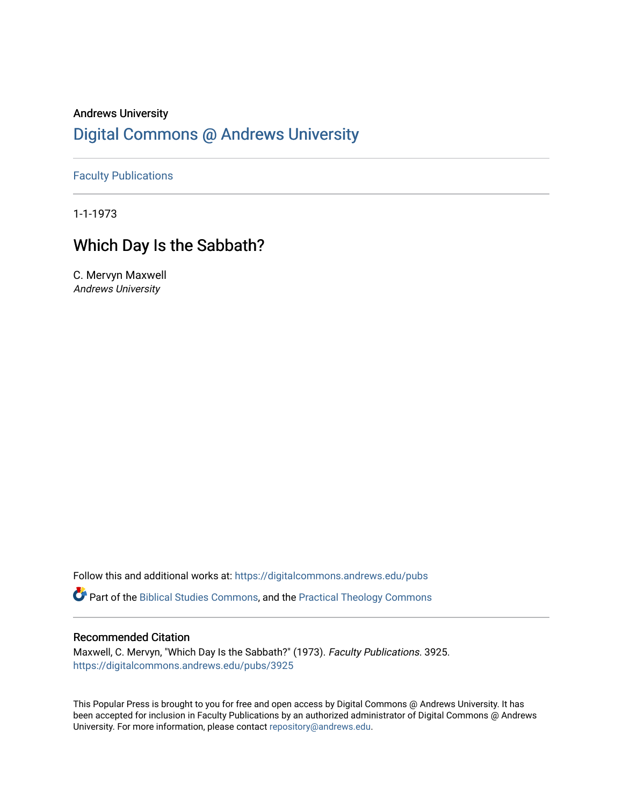## Andrews University [Digital Commons @ Andrews University](https://digitalcommons.andrews.edu/)

[Faculty Publications](https://digitalcommons.andrews.edu/pubs)

1-1-1973

## Which Day Is the Sabbath?

C. Mervyn Maxwell Andrews University

Follow this and additional works at: [https://digitalcommons.andrews.edu/pubs](https://digitalcommons.andrews.edu/pubs?utm_source=digitalcommons.andrews.edu%2Fpubs%2F3925&utm_medium=PDF&utm_campaign=PDFCoverPages) 

Part of the [Biblical Studies Commons,](http://network.bepress.com/hgg/discipline/539?utm_source=digitalcommons.andrews.edu%2Fpubs%2F3925&utm_medium=PDF&utm_campaign=PDFCoverPages) and the [Practical Theology Commons](http://network.bepress.com/hgg/discipline/1186?utm_source=digitalcommons.andrews.edu%2Fpubs%2F3925&utm_medium=PDF&utm_campaign=PDFCoverPages) 

## Recommended Citation

Maxwell, C. Mervyn, "Which Day Is the Sabbath?" (1973). Faculty Publications. 3925. [https://digitalcommons.andrews.edu/pubs/3925](https://digitalcommons.andrews.edu/pubs/3925?utm_source=digitalcommons.andrews.edu%2Fpubs%2F3925&utm_medium=PDF&utm_campaign=PDFCoverPages) 

This Popular Press is brought to you for free and open access by Digital Commons @ Andrews University. It has been accepted for inclusion in Faculty Publications by an authorized administrator of Digital Commons @ Andrews University. For more information, please contact [repository@andrews.edu](mailto:repository@andrews.edu).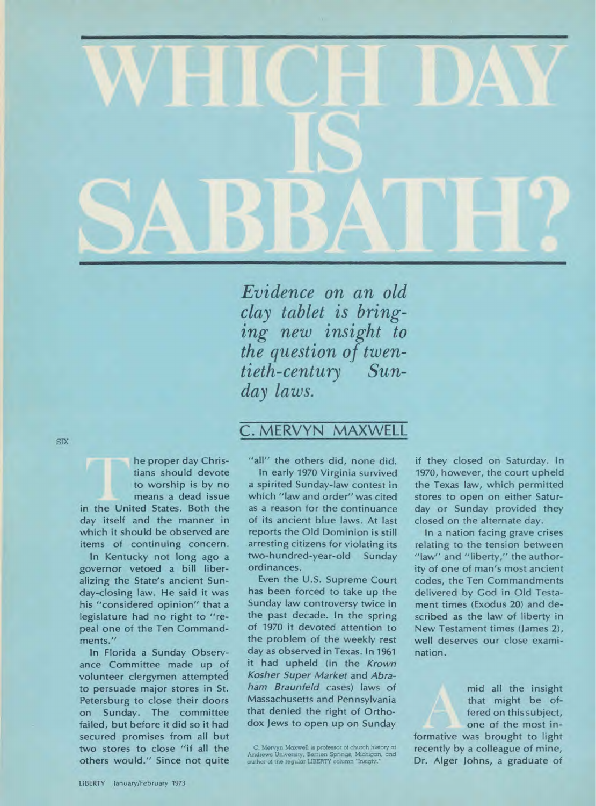

*Evidence on an old clay tablet is bringing new insight to the question of twentieth-century Sunday laws.* 

SIX

he proper day Christians should devote to worship is by no means a dead issue in the United States. Both the day itself and the manner in which it should be observed are

items of continuing concern. In Kentucky not long ago a governor vetoed a bill liberalizing the State's ancient Sunday-closing law. He said it was his "considered opinion" that a legislature had no right to "repeal one of the Ten Commandments."

In Florida a Sunday Observance Committee made up of volunteer clergymen attempted to persuade major stores in St. Petersburg to close their doors on Sunday. The committee failed, but before it did so it had secured promises from all but two stores to close "if all the others would." Since not quite

## C. MERVYN MAXWELL

"all" the others did, none did.

In early 1970 Virginia survived a spirited Sunday-law contest in which "law and order" was cited as a reason for the continuance of its ancient blue laws. At last reports the Old Dominion is still arresting citizens for violating its two-hundred-year-old Sunday ordinances.

Even the U.S. Supreme Court has been forced to take up the Sunday law controversy twice in the past decade. In the spring of 1970 it devoted attention to the problem of the weekly rest day as observed in Texas. In 1961 it had upheld (in the *Krown Kosher Super Market* and *Abraham Braunfeld* cases) laws of Massachusetts and Pennsylvania that denied the right of Orthodox Jews to open up on Sunday

C. Mervyn Maxwell is professor of church history at Andrews University, Berrien Springs, Michigan, and author of the regular LIBERTY column "Insight."

if they closed on Saturday. In 1970, however, the court upheld the Texas law, which permitted stores to open on either Saturday or Sunday provided they closed on the alternate day.

In a nation facing grave crises relating to the tension between "law" and "liberty," the authority of one of man's most ancient codes, the Ten Commandments delivered by God in Old Testament times (Exodus 20) and described as the law of liberty in New Testament times (James 2), well deserves our close examination.

> mid all the insight that might be offered on this subject, one of the most in-

formative was brought to light recently by a colleague of mine, Dr. Alger Johns, a graduate of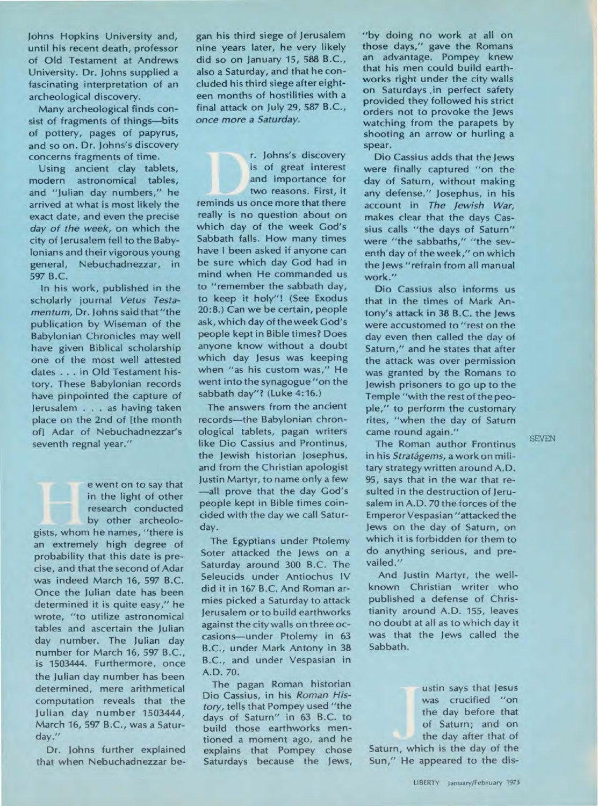**Johns Hopkins University and, until his recent death, professor of Old Testament at Andrews University. Dr. Johns supplied a fascinating interpretation of an archeological discovery.** 

**Many archeological finds consist of fragments of things—bits of pottery, pages of papyrus, and so on. Dr. Johns's discovery concerns fragments of time.** 

**Using ancient clay tablets, modern astronomical tables, and "Julian day numbers," he arrived at what is most likely the exact date, and even the precise**  *day of the week,* **on which the city of Jerusalem fell to the Babylonians and their vigorous young general, Nebuchadnezzar, in 597 B.C.** 

**In his work, published in the scholarly journal** *Vetus Testamentum,* **Dr. Johns said that "the publication by Wiseman of the Babylonian Chronicles may well have given Biblical scholarship one of the most well attested dates . . . in Old Testament history. These Babylonian records have pinpointed the capture of Jerusalem . . . as having taken place on the 2nd of [the month of] Adar of Nebuchadnezzar's seventh regnal year."** 

**e went on to say that in the light of other research conducted by other archeologists, whom he names, "there is an extremely high degree of probability that this date is precise, and that the second of Adar was indeed March 16, 597 B.C. Once the Julian date has been determined it is quite easy," he wrote, "to utilize astronomical tables and ascertain the Julian day number. The Julian day number for March 16, 597 B.C., is 1503444. Furthermore, once the Julian day number has been determined, mere arithmetical computation reveals that the Julian day number 1503444, March 16, 597 B.C., was a Saturday."** 

**Dr. Johns further explained that when Nebuchadnezzar be-** **gan his third siege of Jerusalem nine years later, he very likely did so on January 15, 588 B.C., also a Saturday, and that he concluded his third siege after eighteen months of hostilities with a final attack on July 29, 587 B.C.,**  *once more a Saturday.* 

**r. Johns's discovery is of great interest and importance for two reasons. First, it reminds us once more that there really is no question about on which day of the week God's Sabbath falls. How many times have I been asked if anyone can be sure which day God had in mind when He commanded us to "remember the sabbath day, to keep it holy"! (See Exodus 20:8.) Can we be certain, people ask, which day of the week God's people kept in Bible times? Does anyone know without a doubt which day Jesus was keeping when "as his custom was," He went into the synagogue "on the sabbath day"? (Luke 4:16.)** 

**The answers from the ancient records—the Babylonian chronological tablets, pagan writers like Dio Cassius and Prontinus, the Jewish historian Josephus, and from the Christian apologist Justin Martyr, to name only a few —all prove that the day God's people kept in Bible times coincided with the day we call Saturday.** 

**The Egyptians under Ptolemy Soter attacked the Jews on a Saturday around 300 B.C. The Seleucids under Antiochus IV did it in 167 B.C. And Roman armies picked a Saturday to attack Jerusalem or to build earthworks against the city walls on three occasions—under Ptolemy in 63 B.C., under Mark Antony in 38 B.C., and under Vespasian in A.D. 70.** 

**The pagan Roman historian Dio Cassius, in his** *Roman History,* **tells that Pompey used "the days of Saturn" in 63 B.C. to build those earthworks mentioned a moment ago, and he explains that Pompey chose Saturdays because the Jews,**  **"by doing no work at all on those days," gave the Romans an advantage. Pompey knew that his men could build earthworks right under the city walls on Saturdays .in perfect safety provided they followed his strict orders not to provoke the Jews watching from the parapets by shooting an arrow or hurling a spear.** 

**Dio Cassius adds that the Jews were finally captured "on the day of Saturn, without making any defense." Josephus, in his account in** *The Jewish War,*  **makes clear that the days Cassius calls "the days of Saturn" were "the sabbaths," "the seventh day of the week," on which the Jews "refrain from all manual work."** 

**Dio Cassius also informs us that in the times of Mark Antony's attack in 38 B.C. the Jews were accustomed to "rest on the day even then called the day of Saturn," and he states that after the attack was over permission was granted by the Romans to Jewish prisoners to go up to the Temple "with the rest of the people," to perform the customary rites, "when the day of Saturn came round again."** 

**The Roman author Frontinus**  in his *Stratágems*, a work on mili**tary strategy written around A.D. 95, says that in the war that resulted in the destruction of Jerusalem in A.D. 70 the forces of the Emperor Vespasian "attacked the Jews on the day of Saturn, on which it is forbidden for them to do anything serious, and prevailed."** 

**And Justin Martyr, the wellknown Christian writer who published a defense of Christianity around A.D. 155, leaves no doubt at all as to which day it was that the Jews called the Sabbath.** 

> **ustin says that Jesus was crucified "on the day before that of Saturn; and on the day after that of**

**Saturn, which is the day of the Sun," He appeared to the dis-**